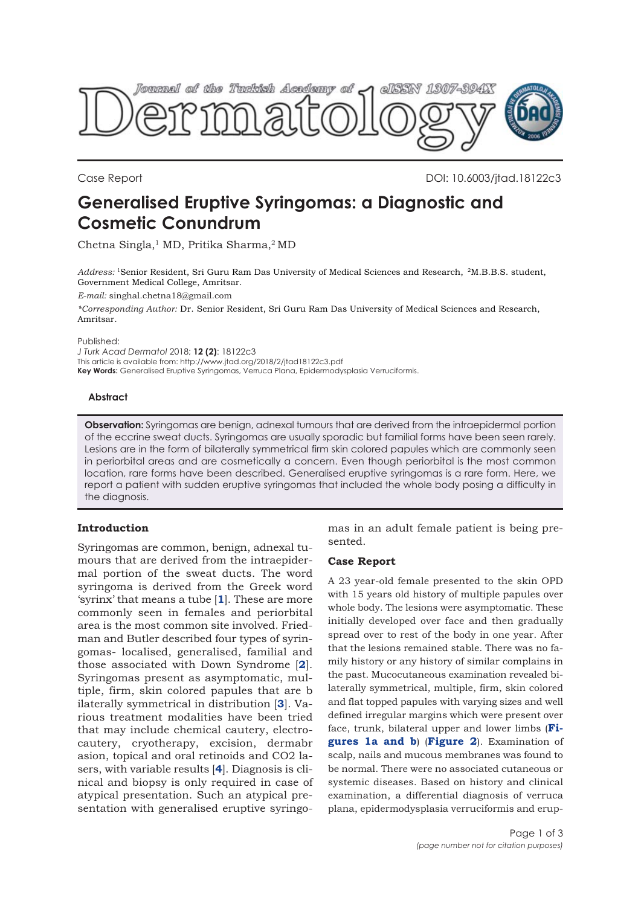

Case Report DOI: 10.6003/jtad.18122c3

# **Generalised Eruptive Syringomas: a Diagnostic and Cosmetic Conundrum**

Chetna Singla,<sup>1</sup> MD, Pritika Sharma,<sup>2</sup> MD

*Address:* 1Senior Resident, Sri Guru Ram Das University of Medical Sciences and Research, 2M.B.B.S. student, Government Medical College, Amritsar.

*E-mail:* singhal.chetna18@gmail.com

*\*Corresponding Author:* Dr. Senior Resident, Sri Guru Ram Das University of Medical Sciences and Research, Amritsar.

Published:

*J Turk Acad Dermatol* 2018; **12 (2)**: 18122c3

This article is available from: http://www.jtad.org/2018/2/jtad18122c3.pdf

**Key Words:** Generalised Eruptive Syringomas, Verruca Plana, Epidermodysplasia Verruciformis.

### **Abstract**

**Observation:** Syringomas are benign, adnexal tumours that are derived from the intraepidermal portion of the eccrine sweat ducts. Syringomas are usually sporadic but familial forms have been seen rarely. Lesions are in the form of bilaterally symmetrical firm skin colored papules which are commonly seen in periorbital areas and are cosmetically a concern. Even though periorbital is the most common location, rare forms have been described. Generalised eruptive syringomas is a rare form. Here, we report a patient with sudden eruptive syringomas that included the whole body posing a difficulty in the diagnosis.

## **Introduction**

Syringomas are common, benign, adnexal tumours that are derived from the intraepidermal portion of the sweat ducts. The word syringoma is derived from the Greek word 'syrinx' that means a tube [**[1](#page-1-0)**]. These are more commonly seen in females and periorbital area is the most common site involved. Friedman and Butler described four types of syringomas- localised, generalised, familial and those associated with Down Syndrome [**[2](#page-1-0)**]. Syringomas present as asymptomatic, multiple, firm, skin colored papules that are b ilaterally symmetrical in distribution [**[3](#page-2-0)**]. Various treatment modalities have been tried that may include chemical cautery, electrocautery, cryotherapy, excision, dermabr asion, topical and oral retinoids and CO2 lasers, with variable results [**[4](#page-2-0)**]. Diagnosis is clinical and biopsy is only required in case of atypical presentation. Such an atypical presentation with generalised eruptive syringomas in an adult female patient is being presented.

## **Case Report**

A 23 year-old female presented to the skin OPD with 15 years old history of multiple papules over whole body. The lesions were asymptomatic. These initially developed over face and then gradually spread over to rest of the body in one year. After that the lesions remained stable. There was no family history or any history of similar complains in the past. Mucocutaneous examination revealed bilaterally symmetrical, multiple, firm, skin colored and flat topped papules with varying sizes and well defined irregular margins which were present over [face, trunk, bilateral upper and lower limbs \(](#page-1-0)**Figures 1a and b**) (**[Figure 2](#page-1-0)**). Examination of scalp, nails and mucous membranes was found to be normal. There were no associated cutaneous or systemic diseases. Based on history and clinical examination, a differential diagnosis of verruca plana, epidermodysplasia verruciformis and erup-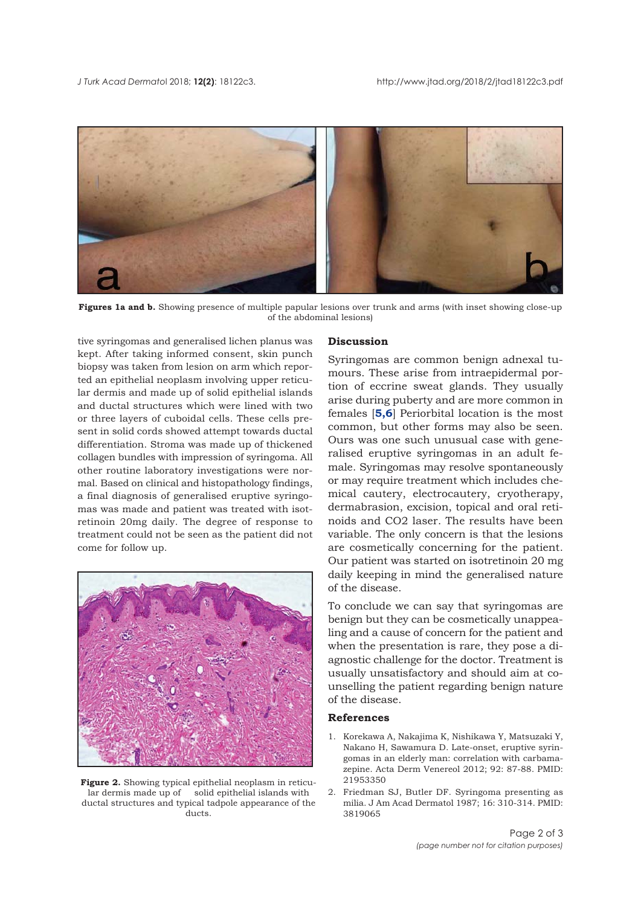<span id="page-1-0"></span>

**Figures 1a and b.** Showing presence of multiple papular lesions over trunk and arms (with inset showing close-up of the abdominal lesions)

tive syringomas and generalised lichen planus was kept. After taking informed consent, skin punch biopsy was taken from lesion on arm which reported an epithelial neoplasm involving upper reticular dermis and made up of solid epithelial islands and ductal structures which were lined with two or three layers of cuboidal cells. These cells present in solid cords showed attempt towards ductal differentiation. Stroma was made up of thickened collagen bundles with impression of syringoma. All other routine laboratory investigations were normal. Based on clinical and histopathology findings, a final diagnosis of generalised eruptive syringomas was made and patient was treated with isotretinoin 20mg daily. The degree of response to treatment could not be seen as the patient did not come for follow up.



Figure 2. Showing typical epithelial neoplasm in reticular dermis made up of solid epithelial islands with ductal structures and typical tadpole appearance of the ducts.

#### **Discussion**

Syringomas are common benign adnexal tumours. These arise from intraepidermal portion of eccrine sweat glands. They usually arise during puberty and are more common in females [**[5,6](#page-2-0)**] Periorbital location is the most common, but other forms may also be seen. Ours was one such unusual case with generalised eruptive syringomas in an adult female. Syringomas may resolve spontaneously or may require treatment which includes chemical cautery, electrocautery, cryotherapy, dermabrasion, excision, topical and oral retinoids and CO2 laser. The results have been variable. The only concern is that the lesions are cosmetically concerning for the patient. Our patient was started on isotretinoin 20 mg daily keeping in mind the generalised nature of the disease.

To conclude we can say that syringomas are benign but they can be cosmetically unappealing and a cause of concern for the patient and when the presentation is rare, they pose a diagnostic challenge for the doctor. Treatment is usually unsatisfactory and should aim at counselling the patient regarding benign nature of the disease.

#### **References**

- 1. Korekawa A, Nakajima K, Nishikawa Y, Matsuzaki Y, Nakano H, Sawamura D. Late-onset, eruptive syringomas in an elderly man: correlation with carbamazepine. Acta Derm Venereol 2012; 92: 87-88. PMID: 21953350
- 2. Friedman SJ, Butler DF. Syringoma presenting as milia. J Am Acad Dermatol 1987; 16: 310-314. PMID: 3819065